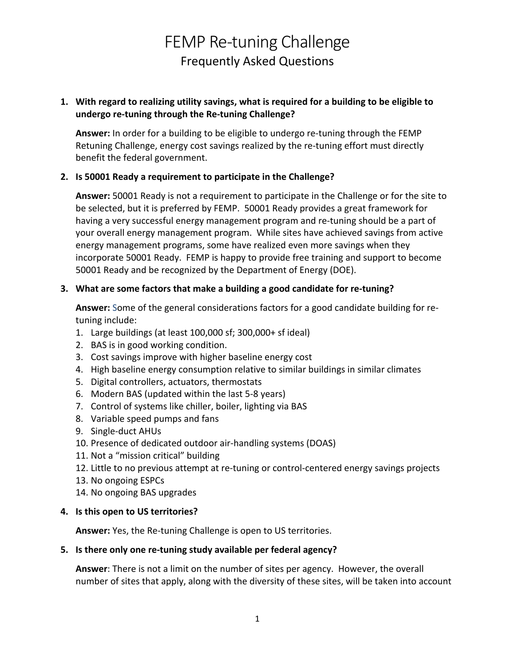# **undergo re-tuning through the Re-tuning Challenge? 1. With regard to realizing utility savings, what is required for a building to be eligible to**

 **Answer:** In order for a building to be eligible to undergo re-tuning through the FEMP Retuning Challenge, energy cost savings realized by the re-tuning effort must directly benefit the federal government.

### **2. Is 50001 Ready a requirement to participate in the Challenge?**

 **Answer:** 50001 Ready is not a requirement to participate in the Challenge or for the site to be selected, but it is preferred by FEMP. 50001 Ready provides a great framework for having a very successful energy management program and re-tuning should be a part of your overall energy management program. While sites have achieved savings from active energy management programs, some have realized even more savings when they incorporate 50001 Ready. FEMP is happy to provide free training and support to become 50001 Ready and be recognized by the Department of Energy (DOE).

# **3. What are some factors that make a building a good candidate for re-tuning?**

 **Answer:** Some of the general considerations factors for a good candidate building for retuning include:

- 1. Large buildings (at least 100,000 sf; 300,000+ sf ideal)
- 2. BAS is in good working condition.
- 3. Cost savings improve with higher baseline energy cost
- 4. High baseline energy consumption relative to similar buildings in similar climates
- 5. Digital controllers, actuators, thermostats
- 6. Modern BAS (updated within the last 5-8 years)
- 7. Control of systems like chiller, boiler, lighting via BAS
- 8. Variable speed pumps and fans
- 9. Single-duct AHUs
- 10. Presence of dedicated outdoor air-handling systems (DOAS)
- 11. Not a "mission critical" building
- 12. Little to no previous attempt at re-tuning or control-centered energy savings projects
- 13. No ongoing ESPCs
- 14. No ongoing BAS upgrades

# **4. Is this open to US territories?**

**Answer:** Yes, the Re-tuning Challenge is open to US territories.

# **5. Is there only one re-tuning study available per federal agency?**

 **Answer**: There is not a limit on the number of sites per agency. However, the overall number of sites that apply, along with the diversity of these sites, will be taken into account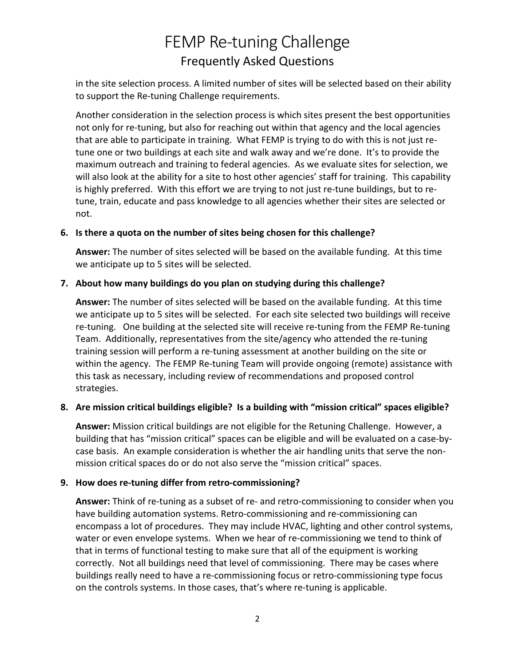in the site selection process. A limited number of sites will be selected based on their ability to support the Re-tuning Challenge requirements.

 Another consideration in the selection process is which sites present the best opportunities not only for re-tuning, but also for reaching out within that agency and the local agencies that are able to participate in training. What FEMP is trying to do with this is not just re- tune one or two buildings at each site and walk away and we're done. It's to provide the maximum outreach and training to federal agencies. As we evaluate sites for selection, we will also look at the ability for a site to host other agencies' staff for training. This capability is highly preferred. With this effort we are trying to not just re-tune buildings, but to re- tune, train, educate and pass knowledge to all agencies whether their sites are selected or not.

#### **6. Is there a quota on the number of sites being chosen for this challenge?**

 **Answer:** The number of sites selected will be based on the available funding. At this time we anticipate up to 5 sites will be selected.

#### **7. About how many buildings do you plan on studying during this challenge?**

 **Answer:** The number of sites selected will be based on the available funding. At this time we anticipate up to 5 sites will be selected. For each site selected two buildings will receive re-tuning. One building at the selected site will receive re-tuning from the FEMP Re-tuning Team. Additionally, representatives from the site/agency who attended the re-tuning training session will perform a re-tuning assessment at another building on the site or within the agency. The FEMP Re-tuning Team will provide ongoing (remote) assistance with this task as necessary, including review of recommendations and proposed control strategies.

# **8. Are mission critical buildings eligible? Is a building with "mission critical" spaces eligible?**

 **Answer:** Mission critical buildings are not eligible for the Retuning Challenge. However, a building that has "mission critical" spaces can be eligible and will be evaluated on a case-by- case basis. An example consideration is whether the air handling units that serve the non-mission critical spaces do or do not also serve the "mission critical" spaces.

# **9. How does re-tuning differ from retro-commissioning?**

 **Answer:** Think of re-tuning as a subset of re- and retro-commissioning to consider when you have building automation systems. Retro-commissioning and re-commissioning can encompass a lot of procedures. They may include HVAC, lighting and other control systems, water or even envelope systems. When we hear of re-commissioning we tend to think of that in terms of functional testing to make sure that all of the equipment is working correctly. Not all buildings need that level of commissioning. There may be cases where buildings really need to have a re-commissioning focus or retro-commissioning type focus on the controls systems. In those cases, that's where re-tuning is applicable.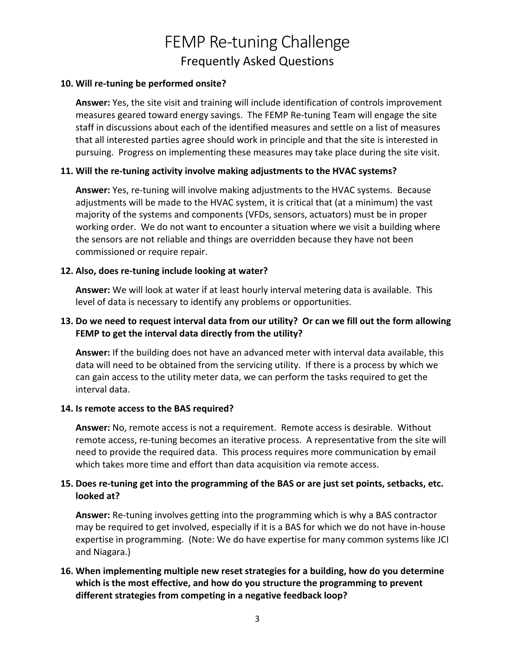#### **10. Will re-tuning be performed onsite?**

 **Answer:** Yes, the site visit and training will include identification of controls improvement measures geared toward energy savings. The FEMP Re-tuning Team will engage the site staff in discussions about each of the identified measures and settle on a list of measures that all interested parties agree should work in principle and that the site is interested in pursuing. Progress on implementing these measures may take place during the site visit.

#### **11. Will the re-tuning activity involve making adjustments to the HVAC systems?**

 **Answer:** Yes, re-tuning will involve making adjustments to the HVAC systems. Because adjustments will be made to the HVAC system, it is critical that (at a minimum) the vast majority of the systems and components (VFDs, sensors, actuators) must be in proper working order. We do not want to encounter a situation where we visit a building where the sensors are not reliable and things are overridden because they have not been commissioned or require repair.

#### **12. Also, does re-tuning include looking at water?**

 **Answer:** We will look at water if at least hourly interval metering data is available. This level of data is necessary to identify any problems or opportunities.

### **FEMP to get the interval data directly from the utility? 13. Do we need to request interval data from our utility? Or can we fill out the form allowing**

 **Answer:** If the building does not have an advanced meter with interval data available, this data will need to be obtained from the servicing utility. If there is a process by which we can gain access to the utility meter data, we can perform the tasks required to get the interval data.

#### **14. Is remote access to the BAS required?**

 **Answer:** No, remote access is not a requirement. Remote access is desirable. Without remote access, re-tuning becomes an iterative process. A representative from the site will need to provide the required data. This process requires more communication by email which takes more time and effort than data acquisition via remote access.

# **15. Does re-tuning get into the programming of the BAS or are just set points, setbacks, etc. looked at?**

 **Answer:** Re-tuning involves getting into the programming which is why a BAS contractor may be required to get involved, especially if it is a BAS for which we do not have in-house expertise in programming. (Note: We do have expertise for many common systems like JCI and Niagara.)

# **different strategies from competing in a negative feedback loop? 16. When implementing multiple new reset strategies for a building, how do you determine which is the most effective, and how do you structure the programming to prevent**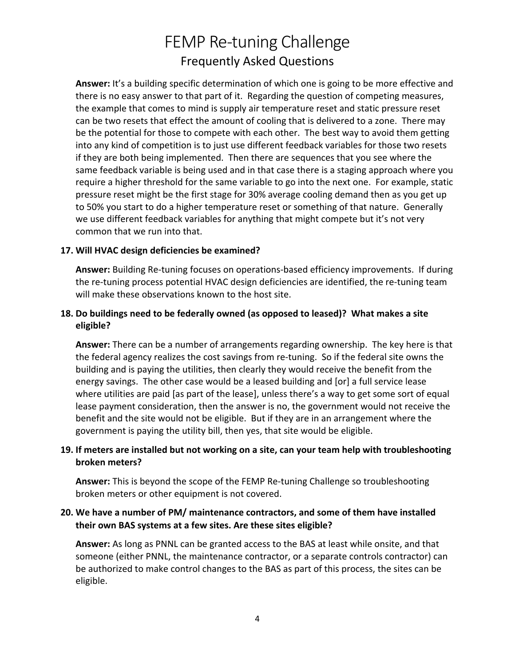**Answer:** It's a building specific determination of which one is going to be more effective and there is no easy answer to that part of it. Regarding the question of competing measures, the example that comes to mind is supply air temperature reset and static pressure reset can be two resets that effect the amount of cooling that is delivered to a zone. There may be the potential for those to compete with each other. The best way to avoid them getting into any kind of competition is to just use different feedback variables for those two resets if they are both being implemented. Then there are sequences that you see where the same feedback variable is being used and in that case there is a staging approach where you require a higher threshold for the same variable to go into the next one. For example, static pressure reset might be the first stage for 30% average cooling demand then as you get up to 50% you start to do a higher temperature reset or something of that nature. Generally we use different feedback variables for anything that might compete but it's not very common that we run into that.

#### **17. Will HVAC design deficiencies be examined?**

 **Answer:** Building Re-tuning focuses on operations-based efficiency improvements. If during the re-tuning process potential HVAC design deficiencies are identified, the re-tuning team will make these observations known to the host site.

# **18. Do buildings need to be federally owned (as opposed to leased)? What makes a site eligible?**

 **Answer:** There can be a number of arrangements regarding ownership. The key here is that the federal agency realizes the cost savings from re-tuning. So if the federal site owns the building and is paying the utilities, then clearly they would receive the benefit from the energy savings. The other case would be a leased building and [or] a full service lease where utilities are paid [as part of the lease], unless there's a way to get some sort of equal lease payment consideration, then the answer is no, the government would not receive the benefit and the site would not be eligible. But if they are in an arrangement where the government is paying the utility bill, then yes, that site would be eligible.

# **19. If meters are installed but not working on a site, can your team help with troubleshooting**  broken meters?

**broken meters?**<br>**Answer:** This is beyond the scope of the FEMP Re-tuning Challenge so troubleshooting broken meters or other equipment is not covered.

# **20. We have a number of PM/ maintenance contractors, and some of them have installed their own BAS systems at a few sites. Are these sites eligible?**

 **Answer:** As long as PNNL can be granted access to the BAS at least while onsite, and that someone (either PNNL, the maintenance contractor, or a separate controls contractor) can be authorized to make control changes to the BAS as part of this process, the sites can be eligible.